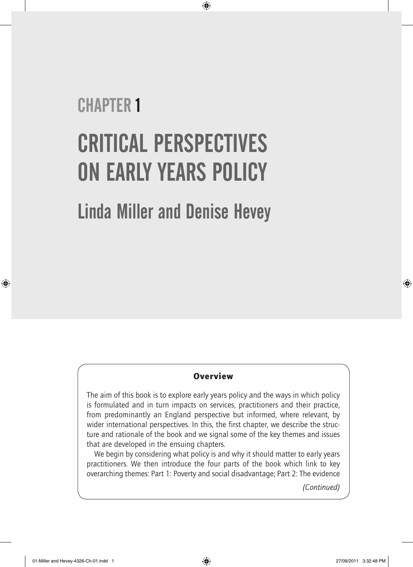# **CHAPTER 1** Critical perspectives on early years policy

⊕

Linda Miller and Denise Hevey

## **Overview**

The aim of this book is to explore early years policy and the ways in which policy is formulated and in turn impacts on services, practitioners and their practice, from predominantly an England perspective but informed, where relevant, by wider international perspectives. In this, the first chapter, we describe the structure and rationale of the book and we signal some of the key themes and issues that are developed in the ensuing chapters.

We begin by considering what policy is and why it should matter to early years practitioners. We then introduce the four parts of the book which link to key overarching themes: Part 1: Poverty and social disadvantage; Part 2: The evidence

*(Continued)*

⊕

 $\bigoplus$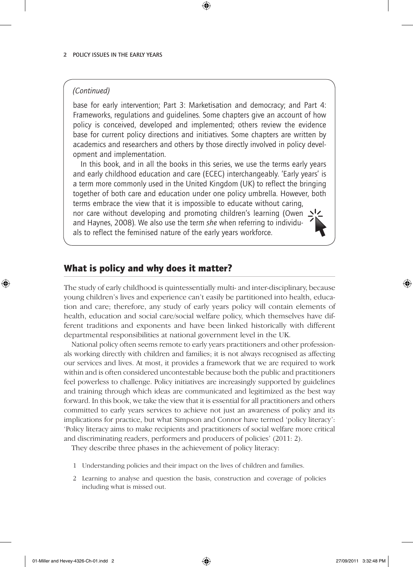#### *(Continued)*

base for early intervention; Part 3: Marketisation and democracy; and Part 4: Frameworks, regulations and guidelines. Some chapters give an account of how policy is conceived, developed and implemented; others review the evidence base for current policy directions and initiatives. Some chapters are written by academics and researchers and others by those directly involved in policy development and implementation.

 $\textcircled{\scriptsize{*}}$ 

In this book, and in all the books in this series, we use the terms early years and early childhood education and care (ECEC) interchangeably. 'Early years' is a term more commonly used in the United Kingdom (UK) to reflect the bringing together of both care and education under one policy umbrella. However, both terms embrace the view that it is impossible to educate without caring, nor care without developing and promoting children's learning (Owen  $\Delta$ ' and Haynes, 2008). We also use the term *she* when referring to individuals to reflect the feminised nature of the early years workforce.

## What is policy and why does it matter?

The study of early childhood is quintessentially multi- and inter-disciplinary, because young children's lives and experience can't easily be partitioned into health, education and care; therefore, any study of early years policy will contain elements of health, education and social care/social welfare policy, which themselves have different traditions and exponents and have been linked historically with different departmental responsibilities at national government level in the UK.

National policy often seems remote to early years practitioners and other professionals working directly with children and families; it is not always recognised as affecting our services and lives. At most, it provides a framework that we are required to work within and is often considered uncontestable because both the public and practitioners feel powerless to challenge. Policy initiatives are increasingly supported by guidelines and training through which ideas are communicated and legitimized as the best way forward. In this book, we take the view that it is essential for all practitioners and others committed to early years services to achieve not just an awareness of policy and its implications for practice, but what Simpson and Connor have termed 'policy literacy': 'Policy literacy aims to make recipients and practitioners of social welfare more critical and discriminating readers, performers and producers of policies' (2011: 2).

They describe three phases in the achievement of policy literacy:

- 1 Understanding policies and their impact on the lives of children and families.
- 2 Learning to analyse and question the basis, construction and coverage of policies including what is missed out.

♠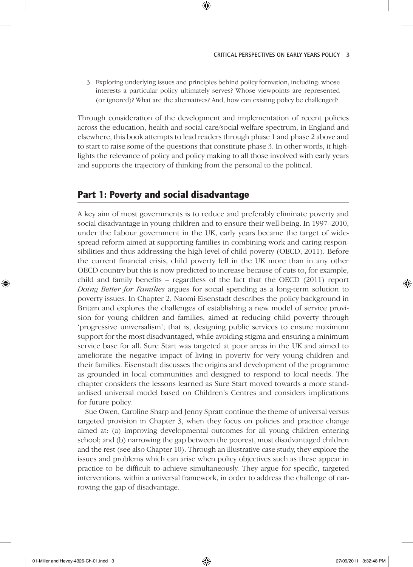3 Exploring underlying issues and principles behind policy formation, including: whose interests a particular policy ultimately serves? Whose viewpoints are represented (or ignored)? What are the alternatives? And, how can existing policy be challenged?

⊕

Through consideration of the development and implementation of recent policies across the education, health and social care/social welfare spectrum, in England and elsewhere, this book attempts to lead readers through phase 1 and phase 2 above and to start to raise some of the questions that constitute phase 3. In other words, it highlights the relevance of policy and policy making to all those involved with early years and supports the trajectory of thinking from the personal to the political.

## Part 1: Poverty and social disadvantage

A key aim of most governments is to reduce and preferably eliminate poverty and social disadvantage in young children and to ensure their well-being. In 1997–2010, under the Labour government in the UK, early years became the target of widespread reform aimed at supporting families in combining work and caring responsibilities and thus addressing the high level of child poverty (OECD, 2011). Before the current financial crisis, child poverty fell in the UK more than in any other OECD country but this is now predicted to increase because of cuts to, for example, child and family benefits – regardless of the fact that the OECD (2011) report *Doing Better for Families* argues for social spending as a long-term solution to poverty issues. In Chapter 2, Naomi Eisenstadt describes the policy background in Britain and explores the challenges of establishing a new model of service provision for young children and families, aimed at reducing child poverty through 'progressive universalism'; that is, designing public services to ensure maximum support for the most disadvantaged, while avoiding stigma and ensuring a minimum service base for all. Sure Start was targeted at poor areas in the UK and aimed to ameliorate the negative impact of living in poverty for very young children and their families. Eisenstadt discusses the origins and development of the programme as grounded in local communities and designed to respond to local needs. The chapter considers the lessons learned as Sure Start moved towards a more standardised universal model based on Children's Centres and considers implications for future policy.

Sue Owen, Caroline Sharp and Jenny Spratt continue the theme of universal versus targeted provision in Chapter 3, when they focus on policies and practice change aimed at: (a) improving developmental outcomes for all young children entering school; and (b) narrowing the gap between the poorest, most disadvantaged children and the rest (see also Chapter 10). Through an illustrative case study, they explore the issues and problems which can arise when policy objectives such as these appear in practice to be difficult to achieve simultaneously. They argue for specific, targeted interventions, within a universal framework, in order to address the challenge of narrowing the gap of disadvantage.

♠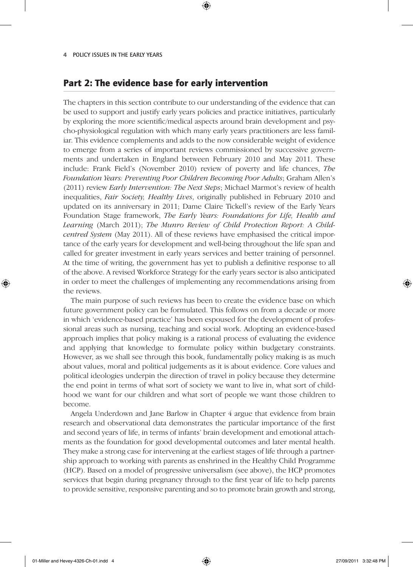## Part 2: The evidence base for early intervention

The chapters in this section contribute to our understanding of the evidence that can be used to support and justify early years policies and practice initiatives, particularly by exploring the more scientific/medical aspects around brain development and psycho-physiological regulation with which many early years practitioners are less familiar. This evidence complements and adds to the now considerable weight of evidence to emerge from a series of important reviews commissioned by successive governments and undertaken in England between February 2010 and May 2011. These include: Frank Field's (November 2010) review of poverty and life chances, *The Foundation Years: Preventing Poor Children Becoming Poor Adults*; Graham Allen's (2011) review *Early Intervention: The Next Steps*; Michael Marmot's review of health inequalities, *Fair Society, Healthy Lives*, originally published in February 2010 and updated on its anniversary in 2011; Dame Claire Tickell's review of the Early Years Foundation Stage framework, *The Early Years: Foundations for Life, Health and Learning* (March 2011); *The Munro Review of Child Protection Report: A Childcentred System* (May 2011). All of these reviews have emphasised the critical importance of the early years for development and well-being throughout the life span and called for greater investment in early years services and better training of personnel. At the time of writing, the government has yet to publish a definitive response to all of the above. A revised Workforce Strategy for the early years sector is also anticipated in order to meet the challenges of implementing any recommendations arising from the reviews.

⊕

The main purpose of such reviews has been to create the evidence base on which future government policy can be formulated. This follows on from a decade or more in which 'evidence-based practice' has been espoused for the development of professional areas such as nursing, teaching and social work. Adopting an evidence-based approach implies that policy making is a rational process of evaluating the evidence and applying that knowledge to formulate policy within budgetary constraints. However, as we shall see through this book, fundamentally policy making is as much about values, moral and political judgements as it is about evidence. Core values and political ideologies underpin the direction of travel in policy because they determine the end point in terms of what sort of society we want to live in, what sort of childhood we want for our children and what sort of people we want those children to become.

Angela Underdown and Jane Barlow in Chapter 4 argue that evidence from brain research and observational data demonstrates the particular importance of the first and second years of life, in terms of infants' brain development and emotional attachments as the foundation for good developmental outcomes and later mental health. They make a strong case for intervening at the earliest stages of life through a partnership approach to working with parents as enshrined in the Healthy Child Programme (HCP). Based on a model of progressive universalism (see above), the HCP promotes services that begin during pregnancy through to the first year of life to help parents to provide sensitive, responsive parenting and so to promote brain growth and strong,

♠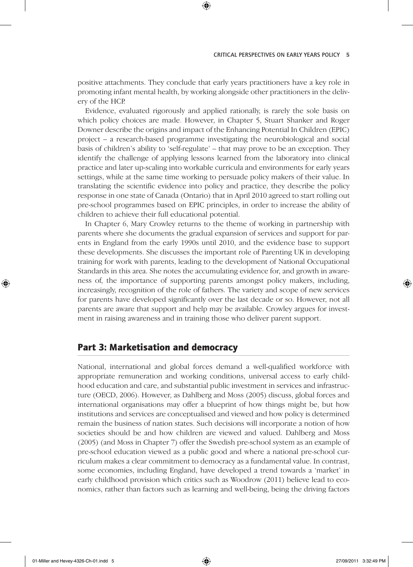#### CRITICAL PERSPECTIVES ON EARLY YEARS POLICY 5

positive attachments. They conclude that early years practitioners have a key role in promoting infant mental health, by working alongside other practitioners in the delivery of the HCP.

⊕

Evidence, evaluated rigorously and applied rationally, is rarely the sole basis on which policy choices are made. However, in Chapter 5, Stuart Shanker and Roger Downer describe the origins and impact of the Enhancing Potential In Children (EPIC) project – a research-based programme investigating the neurobiological and social basis of children's ability to 'self-regulate' – that may prove to be an exception. They identify the challenge of applying lessons learned from the laboratory into clinical practice and later up-scaling into workable curricula and environments for early years settings, while at the same time working to persuade policy makers of their value. In translating the scientific evidence into policy and practice, they describe the policy response in one state of Canada (Ontario) that in April 2010 agreed to start rolling out pre-school programmes based on EPIC principles, in order to increase the ability of children to achieve their full educational potential.

In Chapter 6, Mary Crowley returns to the theme of working in partnership with parents where she documents the gradual expansion of services and support for parents in England from the early 1990s until 2010, and the evidence base to support these developments. She discusses the important role of Parenting UK in developing training for work with parents, leading to the development of National Occupational Standards in this area. She notes the accumulating evidence for, and growth in awareness of, the importance of supporting parents amongst policy makers, including, increasingly, recognition of the role of fathers. The variety and scope of new services for parents have developed significantly over the last decade or so. However, not all parents are aware that support and help may be available. Crowley argues for investment in raising awareness and in training those who deliver parent support.

## Part 3: Marketisation and democracy

National, international and global forces demand a well-qualified workforce with appropriate remuneration and working conditions, universal access to early childhood education and care, and substantial public investment in services and infrastructure (OECD, 2006). However, as Dahlberg and Moss (2005) discuss, global forces and international organisations may offer a blueprint of how things might be, but how institutions and services are conceptualised and viewed and how policy is determined remain the business of nation states. Such decisions will incorporate a notion of how societies should be and how children are viewed and valued. Dahlberg and Moss (2005) (and Moss in Chapter 7) offer the Swedish pre-school system as an example of pre-school education viewed as a public good and where a national pre-school curriculum makes a clear commitment to democracy as a fundamental value. In contrast, some economies, including England, have developed a trend towards a 'market' in early childhood provision which critics such as Woodrow (2011) believe lead to economics, rather than factors such as learning and well-being, being the driving factors

♠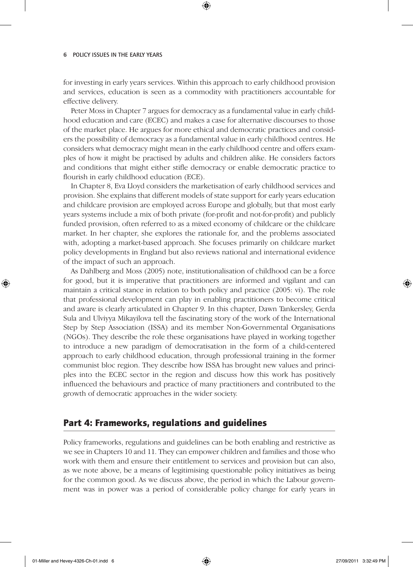for investing in early years services. Within this approach to early childhood provision and services, education is seen as a commodity with practitioners accountable for effective delivery.

⊕

Peter Moss in Chapter 7 argues for democracy as a fundamental value in early childhood education and care (ECEC) and makes a case for alternative discourses to those of the market place. He argues for more ethical and democratic practices and considers the possibility of democracy as a fundamental value in early childhood centres. He considers what democracy might mean in the early childhood centre and offers examples of how it might be practised by adults and children alike. He considers factors and conditions that might either stifle democracy or enable democratic practice to flourish in early childhood education (ECE).

In Chapter 8, Eva Lloyd considers the marketisation of early childhood services and provision. She explains that different models of state support for early years education and childcare provision are employed across Europe and globally, but that most early years systems include a mix of both private (for-profit and not-for-profit) and publicly funded provision, often referred to as a mixed economy of childcare or the childcare market. In her chapter, she explores the rationale for, and the problems associated with, adopting a market-based approach. She focuses primarily on childcare market policy developments in England but also reviews national and international evidence of the impact of such an approach.

As Dahlberg and Moss (2005) note, institutionalisation of childhood can be a force for good, but it is imperative that practitioners are informed and vigilant and can maintain a critical stance in relation to both policy and practice (2005: vi). The role that professional development can play in enabling practitioners to become critical and aware is clearly articulated in Chapter 9. In this chapter, Dawn Tankersley, Gerda Sula and Ulviyya Mikayilova tell the fascinating story of the work of the International Step by Step Association (ISSA) and its member Non-Governmental Organisations (NGOs). They describe the role these organisations have played in working together to introduce a new paradigm of democratisation in the form of a child-centered approach to early childhood education, through professional training in the former communist bloc region. They describe how ISSA has brought new values and principles into the ECEC sector in the region and discuss how this work has positively influenced the behaviours and practice of many practitioners and contributed to the growth of democratic approaches in the wider society.

## Part 4: Frameworks, regulations and guidelines

Policy frameworks, regulations and guidelines can be both enabling and restrictive as we see in Chapters 10 and 11. They can empower children and families and those who work with them and ensure their entitlement to services and provision but can also, as we note above, be a means of legitimising questionable policy initiatives as being for the common good. As we discuss above, the period in which the Labour government was in power was a period of considerable policy change for early years in

♠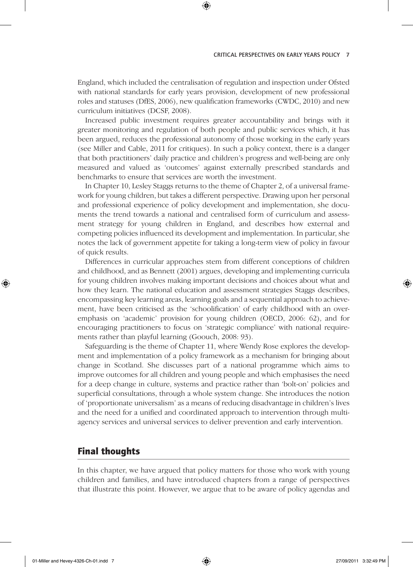#### CRITICAL PERSPECTIVES ON EARLY YEARS POLICY 7

England, which included the centralisation of regulation and inspection under Ofsted with national standards for early years provision, development of new professional roles and statuses (DfES, 2006), new qualification frameworks (CWDC, 2010) and new curriculum initiatives (DCSF, 2008).

⊕

Increased public investment requires greater accountability and brings with it greater monitoring and regulation of both people and public services which, it has been argued, reduces the professional autonomy of those working in the early years (see Miller and Cable, 2011 for critiques). In such a policy context, there is a danger that both practitioners' daily practice and children's progress and well-being are only measured and valued as 'outcomes' against externally prescribed standards and benchmarks to ensure that services are worth the investment.

In Chapter 10, Lesley Staggs returns to the theme of Chapter 2, of a universal framework for young children, but takes a different perspective. Drawing upon her personal and professional experience of policy development and implementation, she documents the trend towards a national and centralised form of curriculum and assessment strategy for young children in England, and describes how external and competing policies influenced its development and implementation. In particular, she notes the lack of government appetite for taking a long-term view of policy in favour of quick results.

Differences in curricular approaches stem from different conceptions of children and childhood, and as Bennett (2001) argues, developing and implementing curricula for young children involves making important decisions and choices about what and how they learn. The national education and assessment strategies Staggs describes, encompassing key learning areas, learning goals and a sequential approach to achievement, have been criticised as the 'schoolification' of early childhood with an overemphasis on 'academic' provision for young children (OECD, 2006: 62), and for encouraging practitioners to focus on 'strategic compliance' with national requirements rather than playful learning (Goouch, 2008: 93).

Safeguarding is the theme of Chapter 11, where Wendy Rose explores the development and implementation of a policy framework as a mechanism for bringing about change in Scotland. She discusses part of a national programme which aims to improve outcomes for all children and young people and which emphasises the need for a deep change in culture, systems and practice rather than 'bolt-on' policies and superficial consultations, through a whole system change. She introduces the notion of 'proportionate universalism' as a means of reducing disadvantage in children's lives and the need for a unified and coordinated approach to intervention through multiagency services and universal services to deliver prevention and early intervention.

## Final thoughts

In this chapter, we have argued that policy matters for those who work with young children and families, and have introduced chapters from a range of perspectives that illustrate this point. However, we argue that to be aware of policy agendas and

⊕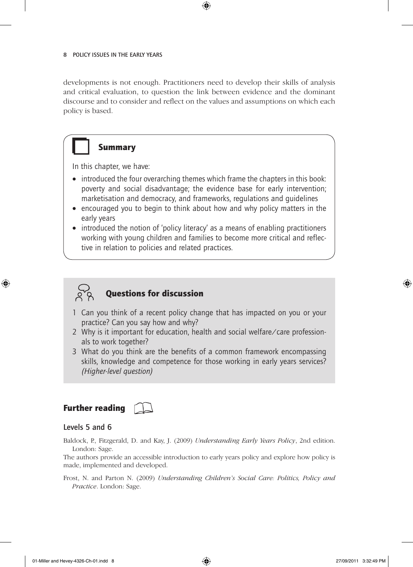developments is not enough. Practitioners need to develop their skills of analysis and critical evaluation, to question the link between evidence and the dominant discourse and to consider and reflect on the values and assumptions on which each policy is based.

 $\bigoplus$ 



In this chapter, we have:

- introduced the four overarching themes which frame the chapters in this book: poverty and social disadvantage; the evidence base for early intervention; marketisation and democracy, and frameworks, regulations and guidelines
- encouraged you to begin to think about how and why policy matters in the early years
- introduced the notion of 'policy literacy' as a means of enabling practitioners working with young children and families to become more critical and reflective in relation to policies and related practices.



⊕

# Questions for discussion

- 1 Can you think of a recent policy change that has impacted on you or your practice? Can you say how and why?
- 2 Why is it important for education, health and social welfare/care professionals to work together?
- 3 What do you think are the benefits of a common framework encompassing skills, knowledge and competence for those working in early years services? *(Higher-level question)*

## Further reading



#### Levels 5 and 6

Baldock, P., Fitzgerald, D. and Kay, J. (2009) *Understanding Early Years Policy*, 2nd edition. London: Sage.

The authors provide an accessible introduction to early years policy and explore how policy is made, implemented and developed.

Frost, N. and Parton N. (2009) *Understanding Children's Social Care: Politics, Policy and Practice*. London: Sage.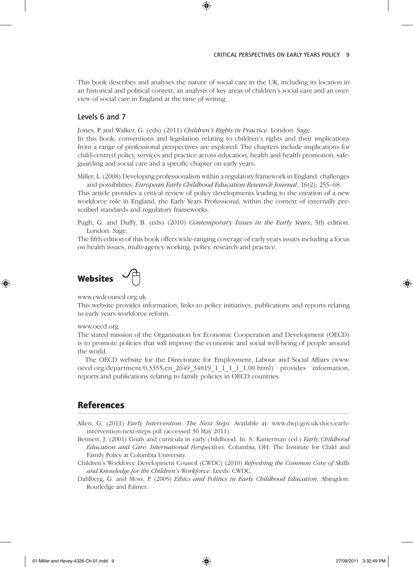#### CRITICAL PERSPECTIVES ON EARLY YEARS POLICY 9

This book describes and analyses the nature of social care in the UK, including its location in an historical and political context, an analysis of key areas of children's social care and an overview of social care in England at the time of writing.

⊕

#### Levels 6 and 7

Jones, P. and Walker, G. (eds) (2011) *Children's Rights in Practice*. London: Sage. In this book, conventions and legislation relating to children's rights and their implications from a range of professional perspectives are explored. The chapters include implications for child-centred policy, services and practice across education, health and health promotion, safe-

guarding and social care and a specific chapter on early years.

Miller, L. (2008) Developing professionalism within a regulatory framework in England: challenges and possibilities. *European Early Childhood Education Research Journal*, 16(2): 255–68.

This article provides a critical review of policy developments leading to the creation of a new workforce role in England, the Early Years Professional, within the context of externally prescribed standards and regulatory frameworks.

Pugh, G. and Duffy, B. (eds) (2010) *Contemporary Issues in the Early Years*, 5th edition. London: Sage.

The fifth edition of this book offers wide-ranging coverage of early years issues including a focus on health issues, multi-agency working, policy, research and practice.

**Websites** 

www.cwdcouncil.org.uk

This website provides information, links to policy initiatives, publications and reports relating to early years workforce reform.

#### www.oecd.org

⊕

The stated mission of the Organisation for Economic Cooperation and Development (OECD) is to promote policies that will improve the economic and social well-being of people around the world.

The OECD website for the Directorate for Employment, Labour and Social Affairs (www. oecd.org/department/0,3355,en\_2649\_34819\_1\_1\_1\_1\_1,00.html) provides information, reports and publications relating to family policies in OECD countries.

### References

Allen, G. (2011) *Early Intervention: The Next Steps*. Available at: www.dwp.gov.uk/docs/earlyintervention-next-steps.pdf (accessed 30 May 2011).

- Bennett, J. (2001) Goals and curricula in early childhood. In: S. Kamerman (ed.) *Early Childhood Education and Care: International Perspectives*. Columbia, OH: The Institute for Child and Family Policy at Columbia University.
- Children's Workforce Development Council (CWDC) (2010) *Refreshing the Common Core of Skills and Knowledge for the Children's Workforce.* Leeds: CWDC.
- Dahlberg, G. and Moss, P. (2005) *Ethics and Politics in Early Childhood Education*. Abingdon: Routledge and Falmer.